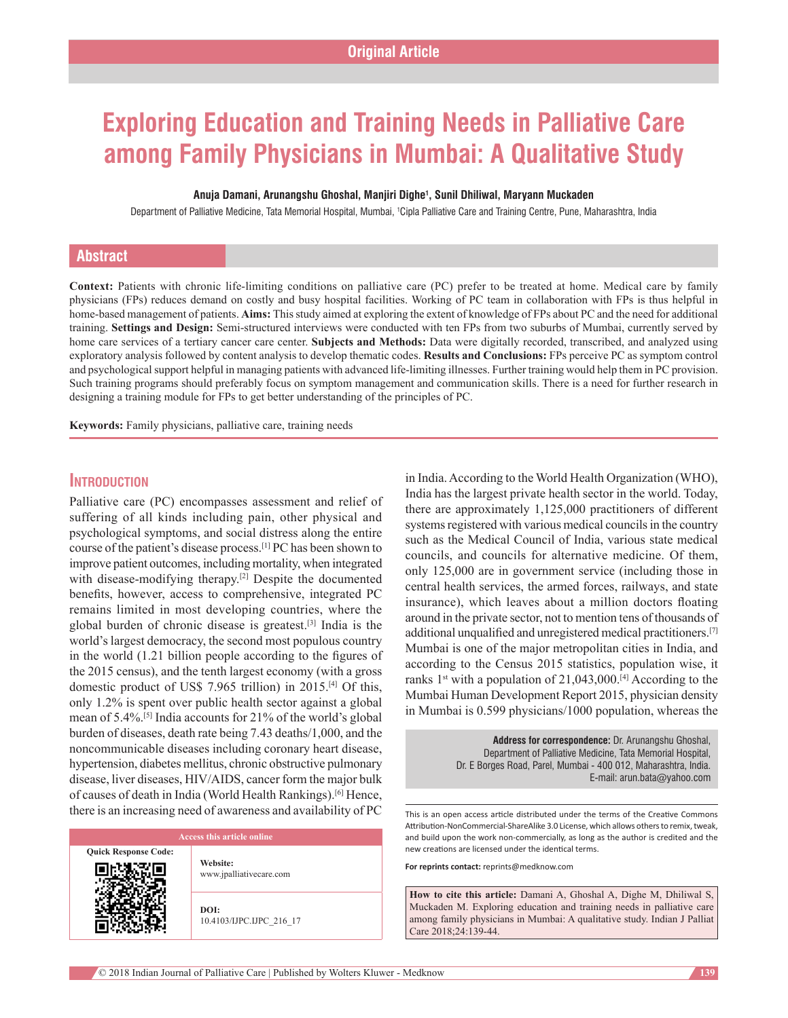# **Exploring Education and Training Needs in Palliative Care among Family Physicians in Mumbai: A Qualitative Study**

#### **Anuja Damani, Arunangshu Ghoshal, Manjiri Dighe1 , Sunil Dhiliwal, Maryann Muckaden**

Department of Palliative Medicine, Tata Memorial Hospital, Mumbai, <sup>1</sup>Cipla Palliative Care and Training Centre, Pune, Maharashtra, India

# **Abstract**

Context: Patients with chronic life-limiting conditions on palliative care (PC) prefer to be treated at home. Medical care by family physicians (FPs) reduces demand on costly and busy hospital facilities. Working of PC team in collaboration with FPs is thus helpful in home‑based management of patients. **Aims:** This study aimed at exploring the extent of knowledge of FPs about PC and the need for additional training. **Settings and Design:** Semi‑structured interviews were conducted with ten FPs from two suburbs of Mumbai, currently served by home care services of a tertiary cancer care center. **Subjects and Methods:** Data were digitally recorded, transcribed, and analyzed using exploratory analysis followed by content analysis to develop thematic codes. **Results and Conclusions:** FPs perceive PC as symptom control and psychological support helpful in managing patients with advanced life‑limiting illnesses. Further training would help them in PC provision. Such training programs should preferably focus on symptom management and communication skills. There is a need for further research in designing a training module for FPs to get better understanding of the principles of PC.

**Keywords:** Family physicians, palliative care, training needs

# **Introduction**

Palliative care (PC) encompasses assessment and relief of suffering of all kinds including pain, other physical and psychological symptoms, and social distress along the entire course of the patient's disease process.[1] PC has been shown to improve patient outcomes, including mortality, when integrated with disease-modifying therapy.<sup>[2]</sup> Despite the documented benefits, however, access to comprehensive, integrated PC remains limited in most developing countries, where the global burden of chronic disease is greatest.[3] India is the world's largest democracy, the second most populous country in the world (1.21 billion people according to the figures of the 2015 census), and the tenth largest economy (with a gross domestic product of US\$ 7.965 trillion) in 2015.[4] Of this, only 1.2% is spent over public health sector against a global mean of 5.4%.[5] India accounts for 21% of the world's global burden of diseases, death rate being 7.43 deaths/1,000, and the noncommunicable diseases including coronary heart disease, hypertension, diabetes mellitus, chronic obstructive pulmonary disease, liver diseases, HIV/AIDS, cancer form the major bulk of causes of death in India (World Health Rankings).[6] Hence, there is an increasing need of awareness and availability of PC

#### **Access this article online**

**Quick Response Code:**

**Website:** www.jpalliativecare.com

**DOI:** 10.4103/IJPC.IJPC\_216\_17 in India. According to the World Health Organization (WHO), India has the largest private health sector in the world. Today, there are approximately 1,125,000 practitioners of different systems registered with various medical councils in the country such as the Medical Council of India, various state medical councils, and councils for alternative medicine. Of them, only 125,000 are in government service (including those in central health services, the armed forces, railways, and state insurance), which leaves about a million doctors floating around in the private sector, not to mention tens of thousands of additional unqualified and unregistered medical practitioners.[7] Mumbai is one of the major metropolitan cities in India, and according to the Census 2015 statistics, population wise, it ranks  $1<sup>st</sup>$  with a population of 21,043,000.<sup>[4]</sup> According to the Mumbai Human Development Report 2015, physician density in Mumbai is 0.599 physicians/1000 population, whereas the

> **Address for correspondence:** Dr. Arunangshu Ghoshal, Department of Palliative Medicine, Tata Memorial Hospital, Dr. E Borges Road, Parel, Mumbai ‑ 400 012, Maharashtra, India. E‑mail: arun.bata@yahoo.com

This is an open access article distributed under the terms of the Creative Commons Attribution‑NonCommercial‑ShareAlike 3.0 License, which allows others to remix, tweak, and build upon the work non‑commercially, as long as the author is credited and the new creations are licensed under the identical terms.

**For reprints contact:** reprints@medknow.com

**How to cite this article:** Damani A, Ghoshal A, Dighe M, Dhiliwal S, Muckaden M. Exploring education and training needs in palliative care among family physicians in Mumbai: A qualitative study. Indian J Palliat Care 2018;24:139-44.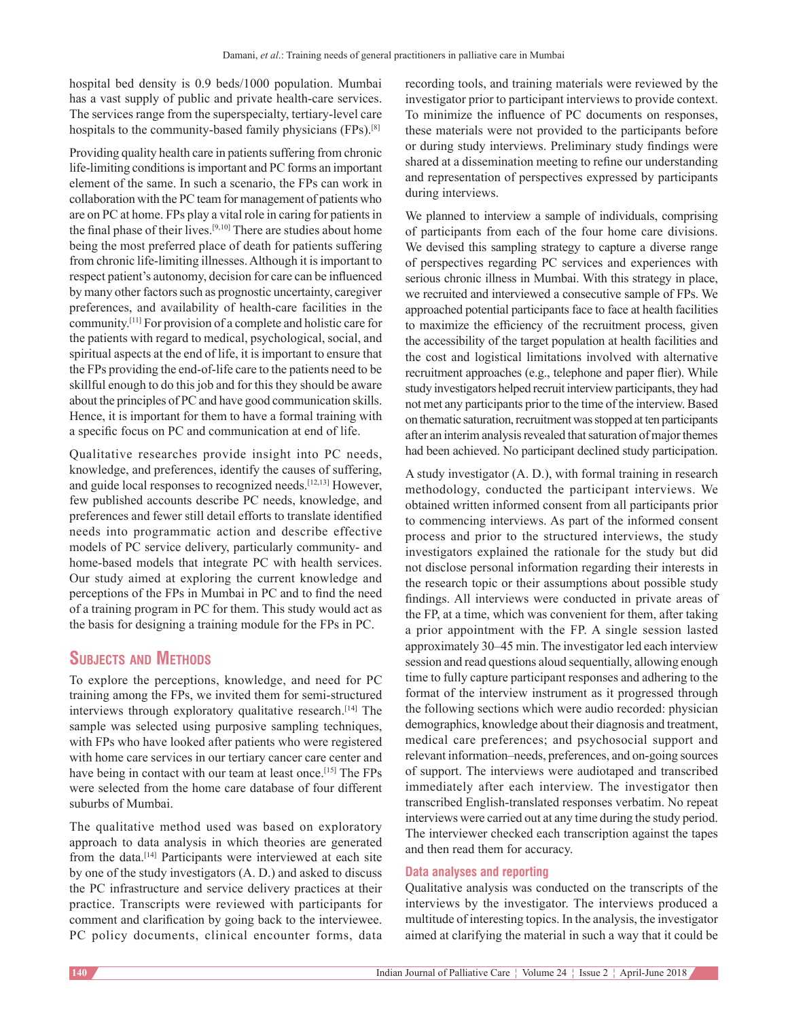hospital bed density is 0.9 beds/1000 population. Mumbai has a vast supply of public and private health-care services. The services range from the superspecialty, tertiary-level care hospitals to the community-based family physicians (FPs).<sup>[8]</sup>

Providing quality health care in patients suffering from chronic life-limiting conditions is important and PC forms an important element of the same. In such a scenario, the FPs can work in collaboration with the PC team for management of patients who are on PC at home. FPs play a vital role in caring for patients in the final phase of their lives.[9,10] There are studies about home being the most preferred place of death for patients suffering from chronic life-limiting illnesses. Although it is important to respect patient's autonomy, decision for care can be influenced by many other factors such as prognostic uncertainty, caregiver preferences, and availability of health-care facilities in the community.[11] For provision of a complete and holistic care for the patients with regard to medical, psychological, social, and spiritual aspects at the end of life, it is important to ensure that the FPs providing the end‑of‑life care to the patients need to be skillful enough to do this job and for this they should be aware about the principles of PC and have good communication skills. Hence, it is important for them to have a formal training with a specific focus on PC and communication at end of life.

Qualitative researches provide insight into PC needs, knowledge, and preferences, identify the causes of suffering, and guide local responses to recognized needs.<sup>[12,13]</sup> However, few published accounts describe PC needs, knowledge, and preferences and fewer still detail efforts to translate identified needs into programmatic action and describe effective models of PC service delivery, particularly community- and home-based models that integrate PC with health services. Our study aimed at exploring the current knowledge and perceptions of the FPs in Mumbai in PC and to find the need of a training program in PC for them. This study would act as the basis for designing a training module for the FPs in PC.

# **Subjects and Methods**

To explore the perceptions, knowledge, and need for PC training among the FPs, we invited them for semi‑structured interviews through exploratory qualitative research.[14] The sample was selected using purposive sampling techniques, with FPs who have looked after patients who were registered with home care services in our tertiary cancer care center and have being in contact with our team at least once.<sup>[15]</sup> The FPs were selected from the home care database of four different suburbs of Mumbai.

The qualitative method used was based on exploratory approach to data analysis in which theories are generated from the data.[14] Participants were interviewed at each site by one of the study investigators (A. D.) and asked to discuss the PC infrastructure and service delivery practices at their practice. Transcripts were reviewed with participants for comment and clarification by going back to the interviewee. PC policy documents, clinical encounter forms, data recording tools, and training materials were reviewed by the investigator prior to participant interviews to provide context. To minimize the influence of PC documents on responses, these materials were not provided to the participants before or during study interviews. Preliminary study findings were shared at a dissemination meeting to refine our understanding and representation of perspectives expressed by participants during interviews.

We planned to interview a sample of individuals, comprising of participants from each of the four home care divisions. We devised this sampling strategy to capture a diverse range of perspectives regarding PC services and experiences with serious chronic illness in Mumbai. With this strategy in place, we recruited and interviewed a consecutive sample of FPs. We approached potential participants face to face at health facilities to maximize the efficiency of the recruitment process, given the accessibility of the target population at health facilities and the cost and logistical limitations involved with alternative recruitment approaches (e.g., telephone and paper flier). While study investigators helped recruit interview participants, they had not met any participants prior to the time of the interview. Based on thematic saturation, recruitment was stopped at ten participants after an interim analysis revealed that saturation of major themes had been achieved. No participant declined study participation.

A study investigator (A. D.), with formal training in research methodology, conducted the participant interviews. We obtained written informed consent from all participants prior to commencing interviews. As part of the informed consent process and prior to the structured interviews, the study investigators explained the rationale for the study but did not disclose personal information regarding their interests in the research topic or their assumptions about possible study findings. All interviews were conducted in private areas of the FP, at a time, which was convenient for them, after taking a prior appointment with the FP. A single session lasted approximately 30–45 min. The investigator led each interview session and read questions aloud sequentially, allowing enough time to fully capture participant responses and adhering to the format of the interview instrument as it progressed through the following sections which were audio recorded: physician demographics, knowledge about their diagnosis and treatment, medical care preferences; and psychosocial support and relevant information–needs, preferences, and on‑going sources of support. The interviews were audiotaped and transcribed immediately after each interview. The investigator then transcribed English‑translated responses verbatim. No repeat interviews were carried out at any time during the study period. The interviewer checked each transcription against the tapes and then read them for accuracy.

#### **Data analyses and reporting**

Qualitative analysis was conducted on the transcripts of the interviews by the investigator. The interviews produced a multitude of interesting topics. In the analysis, the investigator aimed at clarifying the material in such a way that it could be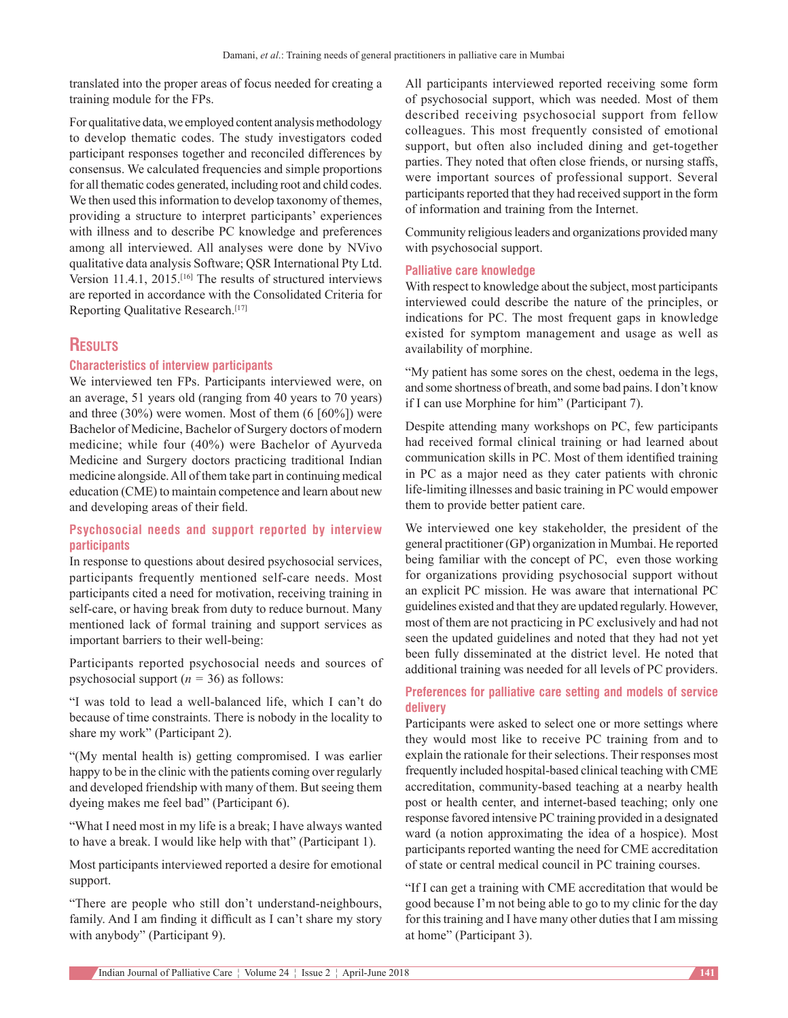translated into the proper areas of focus needed for creating a training module for the FPs.

For qualitative data, we employed content analysis methodology to develop thematic codes. The study investigators coded participant responses together and reconciled differences by consensus. We calculated frequencies and simple proportions for all thematic codes generated, including root and child codes. We then used this information to develop taxonomy of themes, providing a structure to interpret participants' experiences with illness and to describe PC knowledge and preferences among all interviewed. All analyses were done by  NVivo qualitative data analysis Software; QSR International Pty Ltd. Version 11.4.1, 2015.[16] The results of structured interviews are reported in accordance with the Consolidated Criteria for Reporting Qualitative Research.[17]

# **Results**

#### **Characteristics of interview participants**

We interviewed ten FPs. Participants interviewed were, on an average, 51 years old (ranging from 40 years to 70 years) and three (30%) were women. Most of them (6 [60%]) were Bachelor of Medicine, Bachelor of Surgery doctors of modern medicine; while four (40%) were Bachelor of Ayurveda Medicine and Surgery doctors practicing traditional Indian medicine alongside. All of them take part in continuing medical education (CME) to maintain competence and learn about new and developing areas of their field.

### **Psychosocial needs and support reported by interview participants**

In response to questions about desired psychosocial services, participants frequently mentioned self-care needs. Most participants cited a need for motivation, receiving training in self-care, or having break from duty to reduce burnout. Many mentioned lack of formal training and support services as important barriers to their well-being:

Participants reported psychosocial needs and sources of psychosocial support  $(n = 36)$  as follows:

"I was told to lead a well‑balanced life, which I can't do because of time constraints. There is nobody in the locality to share my work" (Participant 2).

"(My mental health is) getting compromised. I was earlier happy to be in the clinic with the patients coming over regularly and developed friendship with many of them. But seeing them dyeing makes me feel bad" (Participant 6).

"What I need most in my life is a break; I have always wanted to have a break. I would like help with that" (Participant 1).

Most participants interviewed reported a desire for emotional support.

"There are people who still don't understand-neighbours, family. And I am finding it difficult as I can't share my story with anybody" (Participant 9).

All participants interviewed reported receiving some form of psychosocial support, which was needed. Most of them described receiving psychosocial support from fellow colleagues. This most frequently consisted of emotional support, but often also included dining and get-together parties. They noted that often close friends, or nursing staffs, were important sources of professional support. Several participants reported that they had received support in the form of information and training from the Internet.

Community religious leaders and organizations provided many with psychosocial support.

#### **Palliative care knowledge**

With respect to knowledge about the subject, most participants interviewed could describe the nature of the principles, or indications for PC. The most frequent gaps in knowledge existed for symptom management and usage as well as availability of morphine.

"My patient has some sores on the chest, oedema in the legs, and some shortness of breath, and some bad pains. I don't know if I can use Morphine for him" (Participant 7).

Despite attending many workshops on PC, few participants had received formal clinical training or had learned about communication skills in PC. Most of them identified training in PC as a major need as they cater patients with chronic life-limiting illnesses and basic training in PC would empower them to provide better patient care.

We interviewed one key stakeholder, the president of the general practitioner (GP) organization in Mumbai. He reported being familiar with the concept of PC, even those working for organizations providing psychosocial support without an explicit PC mission. He was aware that international PC guidelines existed and that they are updated regularly. However, most of them are not practicing in PC exclusively and had not seen the updated guidelines and noted that they had not yet been fully disseminated at the district level. He noted that additional training was needed for all levels of PC providers.

## **Preferences for palliative care setting and models of service delivery**

Participants were asked to select one or more settings where they would most like to receive PC training from and to explain the rationale for their selections. Their responses most frequently included hospital-based clinical teaching with CME accreditation, community-based teaching at a nearby health post or health center, and internet-based teaching; only one response favored intensive PC training provided in a designated ward (a notion approximating the idea of a hospice). Most participants reported wanting the need for CME accreditation of state or central medical council in PC training courses.

"If I can get a training with CME accreditation that would be good because I'm not being able to go to my clinic for the day for this training and I have many other duties that I am missing at home" (Participant 3).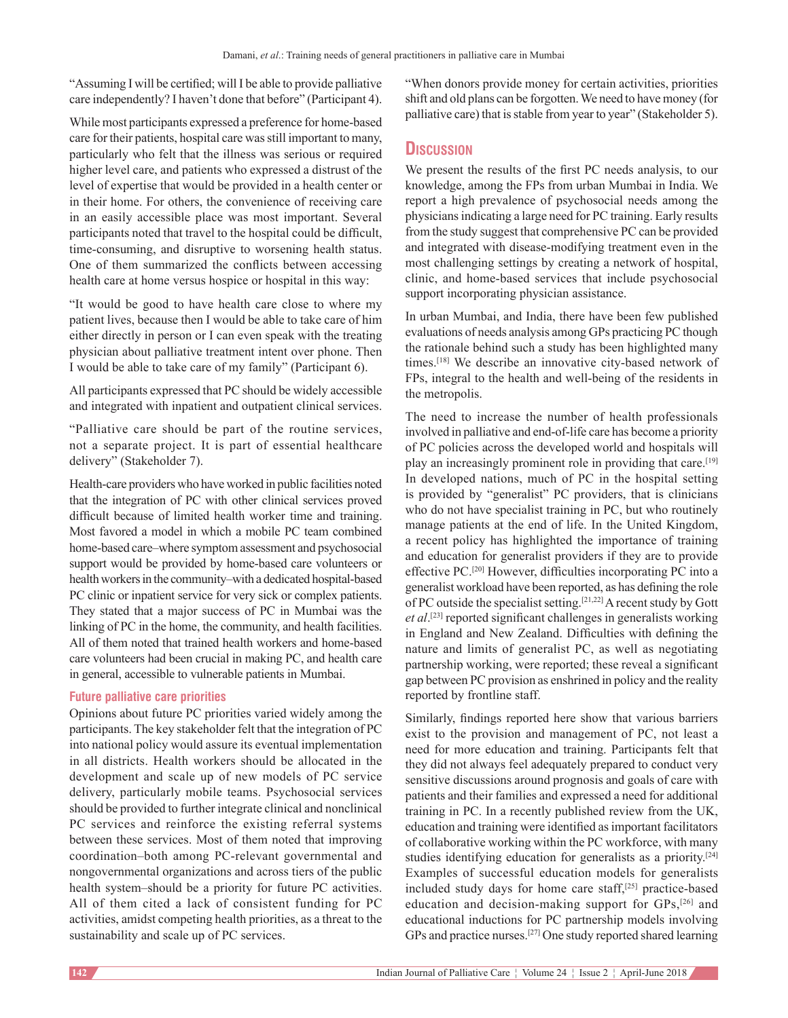"Assuming I will be certified; will I be able to provide palliative care independently? I haven't done that before" (Participant 4).

While most participants expressed a preference for home-based care for their patients, hospital care was still important to many, particularly who felt that the illness was serious or required higher level care, and patients who expressed a distrust of the level of expertise that would be provided in a health center or in their home. For others, the convenience of receiving care in an easily accessible place was most important. Several participants noted that travel to the hospital could be difficult, time-consuming, and disruptive to worsening health status. One of them summarized the conflicts between accessing health care at home versus hospice or hospital in this way:

"It would be good to have health care close to where my patient lives, because then I would be able to take care of him either directly in person or I can even speak with the treating physician about palliative treatment intent over phone. Then I would be able to take care of my family" (Participant 6).

All participants expressed that PC should be widely accessible and integrated with inpatient and outpatient clinical services.

"Palliative care should be part of the routine services, not a separate project. It is part of essential healthcare delivery" (Stakeholder 7).

Health-care providers who have worked in public facilities noted that the integration of PC with other clinical services proved difficult because of limited health worker time and training. Most favored a model in which a mobile PC team combined home-based care–where symptom assessment and psychosocial support would be provided by home-based care volunteers or health workers in the community–with a dedicated hospital-based PC clinic or inpatient service for very sick or complex patients. They stated that a major success of PC in Mumbai was the linking of PC in the home, the community, and health facilities. All of them noted that trained health workers and home-based care volunteers had been crucial in making PC, and health care in general, accessible to vulnerable patients in Mumbai.

## **Future palliative care priorities**

Opinions about future PC priorities varied widely among the participants. The key stakeholder felt that the integration of PC into national policy would assure its eventual implementation in all districts. Health workers should be allocated in the development and scale up of new models of PC service delivery, particularly mobile teams. Psychosocial services should be provided to further integrate clinical and nonclinical PC services and reinforce the existing referral systems between these services. Most of them noted that improving coordination–both among PC‑relevant governmental and nongovernmental organizations and across tiers of the public health system–should be a priority for future PC activities. All of them cited a lack of consistent funding for PC activities, amidst competing health priorities, as a threat to the sustainability and scale up of PC services.

"When donors provide money for certain activities, priorities shift and old plans can be forgotten. We need to have money (for palliative care) that is stable from year to year" (Stakeholder 5).

# **Discussion**

We present the results of the first PC needs analysis, to our knowledge, among the FPs from urban Mumbai in India. We report a high prevalence of psychosocial needs among the physicians indicating a large need for PC training. Early results from the study suggest that comprehensive PC can be provided and integrated with disease-modifying treatment even in the most challenging settings by creating a network of hospital, clinic, and home‑based services that include psychosocial support incorporating physician assistance.

In urban Mumbai, and India, there have been few published evaluations of needs analysis among GPs practicing PC though the rationale behind such a study has been highlighted many times.<sup>[18]</sup> We describe an innovative city-based network of FPs, integral to the health and well-being of the residents in the metropolis.

The need to increase the number of health professionals involved in palliative and end‑of‑life care has become a priority of PC policies across the developed world and hospitals will play an increasingly prominent role in providing that care.[19] In developed nations, much of PC in the hospital setting is provided by "generalist" PC providers, that is clinicians who do not have specialist training in PC, but who routinely manage patients at the end of life. In the United Kingdom, a recent policy has highlighted the importance of training and education for generalist providers if they are to provide effective PC.[20] However, difficulties incorporating PC into a generalist workload have been reported, as has defining the role of PC outside the specialist setting.[21,22] A recent study by Gott *et al*. [23] reported significant challenges in generalists working in England and New Zealand. Difficulties with defining the nature and limits of generalist PC, as well as negotiating partnership working, were reported; these reveal a significant gap between PC provision as enshrined in policy and the reality reported by frontline staff.

Similarly, findings reported here show that various barriers exist to the provision and management of PC, not least a need for more education and training. Participants felt that they did not always feel adequately prepared to conduct very sensitive discussions around prognosis and goals of care with patients and their families and expressed a need for additional training in PC. In a recently published review from the UK, education and training were identified as important facilitators of collaborative working within the PC workforce, with many studies identifying education for generalists as a priority.<sup>[24]</sup> Examples of successful education models for generalists included study days for home care staff, $[25]$  practice-based education and decision-making support for GPs,<sup>[26]</sup> and educational inductions for PC partnership models involving GPs and practice nurses.[27] One study reported shared learning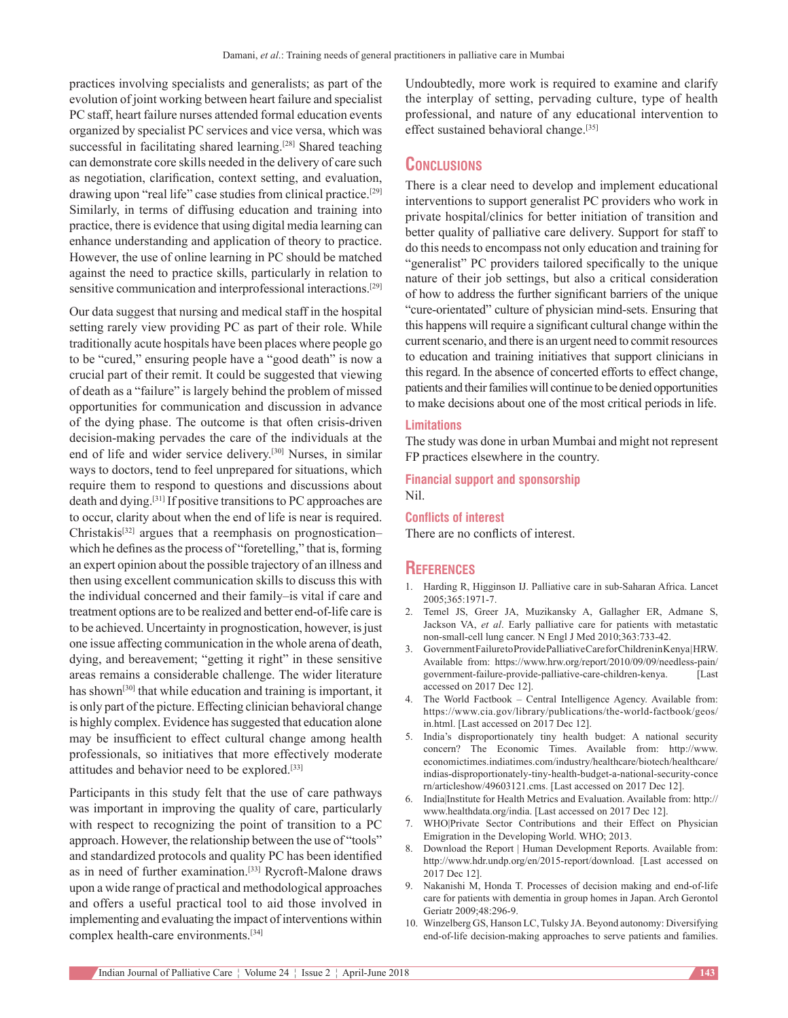practices involving specialists and generalists; as part of the evolution of joint working between heart failure and specialist PC staff, heart failure nurses attended formal education events organized by specialist PC services and vice versa, which was successful in facilitating shared learning.<sup>[28]</sup> Shared teaching can demonstrate core skills needed in the delivery of care such as negotiation, clarification, context setting, and evaluation, drawing upon "real life" case studies from clinical practice.<sup>[29]</sup> Similarly, in terms of diffusing education and training into practice, there is evidence that using digital media learning can enhance understanding and application of theory to practice. However, the use of online learning in PC should be matched against the need to practice skills, particularly in relation to sensitive communication and interprofessional interactions.<sup>[29]</sup>

Our data suggest that nursing and medical staff in the hospital setting rarely view providing PC as part of their role. While traditionally acute hospitals have been places where people go to be "cured," ensuring people have a "good death" is now a crucial part of their remit. It could be suggested that viewing of death as a "failure" is largely behind the problem of missed opportunities for communication and discussion in advance of the dying phase. The outcome is that often crisis‑driven decision-making pervades the care of the individuals at the end of life and wider service delivery.[30] Nurses, in similar ways to doctors, tend to feel unprepared for situations, which require them to respond to questions and discussions about death and dying.[31] If positive transitions to PC approaches are to occur, clarity about when the end of life is near is required. Christakis[32] argues that a reemphasis on prognostication– which he defines as the process of "foretelling," that is, forming an expert opinion about the possible trajectory of an illness and then using excellent communication skills to discuss this with the individual concerned and their family–is vital if care and treatment options are to be realized and better end‑of‑life care is to be achieved. Uncertainty in prognostication, however, is just one issue affecting communication in the whole arena of death, dying, and bereavement; "getting it right" in these sensitive areas remains a considerable challenge. The wider literature has shown<sup>[30]</sup> that while education and training is important, it is only part of the picture. Effecting clinician behavioral change is highly complex. Evidence has suggested that education alone may be insufficient to effect cultural change among health professionals, so initiatives that more effectively moderate attitudes and behavior need to be explored.[33]

Participants in this study felt that the use of care pathways was important in improving the quality of care, particularly with respect to recognizing the point of transition to a PC approach. However, the relationship between the use of "tools" and standardized protocols and quality PC has been identified as in need of further examination.<sup>[33]</sup> Rycroft-Malone draws upon a wide range of practical and methodological approaches and offers a useful practical tool to aid those involved in implementing and evaluating the impact of interventions within complex health-care environments.<sup>[34]</sup>

Undoubtedly, more work is required to examine and clarify the interplay of setting, pervading culture, type of health professional, and nature of any educational intervention to effect sustained behavioral change.[35]

# **Conclusions**

There is a clear need to develop and implement educational interventions to support generalist PC providers who work in private hospital/clinics for better initiation of transition and better quality of palliative care delivery. Support for staff to do this needs to encompass not only education and training for "generalist" PC providers tailored specifically to the unique nature of their job settings, but also a critical consideration of how to address the further significant barriers of the unique "cure‑orientated" culture of physician mind‑sets. Ensuring that this happens will require a significant cultural change within the current scenario, and there is an urgent need to commit resources to education and training initiatives that support clinicians in this regard. In the absence of concerted efforts to effect change, patients and their families will continue to be denied opportunities to make decisions about one of the most critical periods in life.

#### **Limitations**

The study was done in urban Mumbai and might not represent FP practices elsewhere in the country.

**Financial support and sponsorship** Nil.

#### **Conflicts of interest**

There are no conflicts of interest.

#### **References**

- 1. Harding R, Higginson IJ. Palliative care in sub-Saharan Africa. Lancet 2005;365:1971‑7.
- 2. Temel JS, Greer JA, Muzikansky A, Gallagher ER, Admane S, Jackson VA, *et al*. Early palliative care for patients with metastatic non-small-cell lung cancer. N Engl J Med 2010;363:733-42.
- 3. Government Failure to Provide Palliative Care for Children in Kenya | HRW. Available from: https://www.hrw.org/report/2010/09/09/needless-pain/ government-failure-provide-palliative-care-children-kenya. [Last accessed on 2017 Dec 12].
- The World Factbook Central Intelligence Agency. Available from: https://www.cia.gov/library/publications/the-world-factbook/geos/ in.html. [Last accessed on 2017 Dec 12].
- 5. India's disproportionately tiny health budget: A national security concern? The Economic Times. Available from: http://www. economictimes.indiatimes.com/industry/healthcare/biotech/healthcare/ indias-disproportionately-tiny-health-budget-a-national-security-conce rn/articleshow/49603121.cms. [Last accessed on 2017 Dec 12].
- 6. India|Institute for Health Metrics and Evaluation. Available from: http:// www.healthdata.org/india. [Last accessed on 2017 Dec 12].
- 7. WHO|Private Sector Contributions and their Effect on Physician Emigration in the Developing World. WHO; 2013.
- 8. Download the Report | Human Development Reports. Available from: http://www.hdr.undp.org/en/2015‑report/download. [Last accessed on 2017 Dec 12].
- 9. Nakanishi M, Honda T. Processes of decision making and end-of-life care for patients with dementia in group homes in Japan. Arch Gerontol Geriatr 2009;48:296-9.
- 10. Winzelberg GS, Hanson LC, Tulsky JA. Beyond autonomy: Diversifying end-of-life decision-making approaches to serve patients and families.